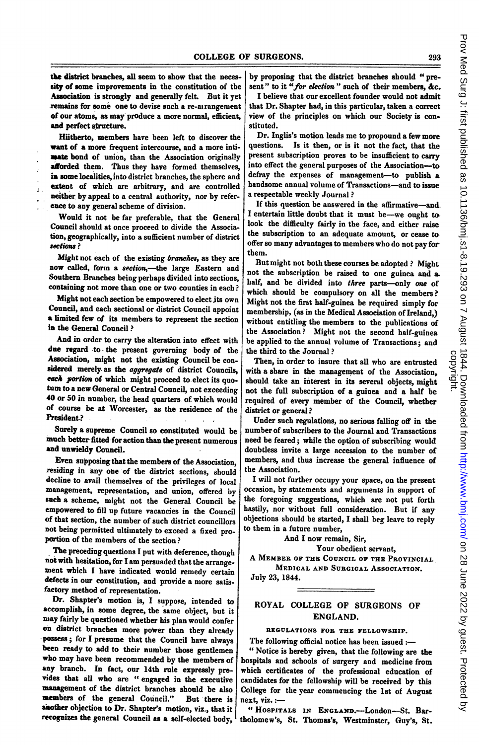the district branches, all seem to show that the necessity of some improvements in the constitution of the Association is strongly and generally felt. But it yet remains for some one to devise such a re-airangement of our atoms, as may produce a more normal, efficient, and perfect structure.

Hiitherto, members have been left to discover the want of a more frequent intercourse, and a more intimate bond of union, than the Association originally aforded them. Thus they have formed themselves, in some localities, into district branches, the sphere and extent of which are arbitrary, and are controlled neither by appeal to a central authority, nor by reference to any general scheme of division.

 $\overline{1}$ 

Would it not be far preferable, that the General Council should at once proceed to divide the Association, geographically, into a sufficient number of district \*ections?

Might not each of the existing branches, as they are now called, form a section,-the large Eastern and Southern Branches being perhaps divided into sections, containing not more than one or two counties in each?

Might not each section be empowered to elect its own Council, and each sectional or district Council appoint a limited few of its members to represent the section in the General Council ?

And in order to carry the alteration into effect with due regard to the present governing body of the Association, might not the existing Council be considered merely as the *aggregate* of district Councils, each portion of which might proceed to elect its quotum to a new General or Central Council, not exceeding 40 or 50 in number, the head quarters of which would of course be at Worcester, as the residence of the President.?

Surely a supreme Council so constituted would be much better-fitted for action than the present numerous and unwieldy Council.

Even supposing that the members of the Association, residing in any one of the district sections, should decline to avail themselves of the privileges of local management, representation, and union, offered by such a scheme, might not the General Council be empowered to fill up future vacancies in the Council of that section, the number of such district councillors not being permitted ultimately to exceed a fixed proportion of the members of the section?

The preceding questions <sup>I</sup> put with deference, though not with hesitation, for <sup>I</sup> am persuaded that the arrangement wbich <sup>I</sup> have indicated would remedy certain defects in our constitution, and provide a more satisfactory method of representation.

Dr. Shapter's motion is, <sup>I</sup> suppose, intended to accomplish, in some degree, the same object, but it may fairly be questioned whether his plan would confer on district branches more power than they already -possess; for <sup>I</sup> presume that the Council have always been ready to add to their number those gentlemen who may have been recommended by the members of any branch. In fact, our 14th rule expressly provides that all who are " engaged in the executive management of the district branches should be also members of the general Council." But there is another objection to Dr. Shapter's motion, viz., that it recopizes the general Council as a self-elected body,

by proposing that the district branches should " present" to it "for election" such of their members, &c.

I believe that our excellent founder would not admit that Dr. Shapter had, in this particular, taken a correct view of the principles on which our Society is constituted.

Dr. Inglis's motion leads me to propound a few more questions. Is it then, or is it not the fact, that the present subscription proves to be insufficient to carry into effect the general purposes of the Association-to defray the expenses of management-to publish a handsome annual volume of Transactions-and to issue a respectable weekly Journal ?

If this question be answered in the affirmative-and. I entertain little doubt that it must be-we ought to look the difficulty fairly in the face, and either raise the subscription to an adequate amount, or cease to offer so many advantages to members who do not pay for them.

But might not both these courses be adopted ? Might not the subscription be raised to one guinea and a. half, and be divided into three parts-only one of which should be compulsory on all the members? Might not the first half-guinea be required simply for membership, (as in the Medical Association of Ireland,) without entitling the members to the publications of the Association? Might not the second half-guinea be applied to the annual volume of Transactions; and the third to the Journal ?

Then, in order to insure that all who are entrusted with a share in the management of the Association, should take an interest in its several objects, might not the full subscription of a guinea and a half be required of every member of the Council, whether district or general?

Under such regulations, no serious falling off in the numberof subscribers to the Journal and Transactions need be feared; while the option of subscribing would doubtless invite a large accession to the number of members, and thus increase the general influence of the Association.

I will not further occupy your space, on the present occasion, by statements and arguments in support of the foregoing suggestions, which are not put forth hastily, nor without full consideration. But if any objections should be started, I shall beg leave to reply to them in a future number,

And <sup>I</sup> now remain, Sir,

Your obedient servant,

A MEMBER OF THE COUNCIL OF THE PROVINCIAL MEDICAL AND SURGICAL ASSOCIATION.

## July 23, 1844.

### ROYAL COLLEGE OF SURGEONS OF ENGLAND.

#### REGULATIONS FOR THE FELLOWSHIP.

The following official notice has been issued: " Notice is hereby given, that the following are the hospitals and schools of surgery and medicine from which certificates of the professional education of candidates for the fellowship will be received by this College for the year commencing the 1st of August next, viz.:-

" HOSPITALS IN ENGLAND.-London-St. Bartholomew's, St. Thomas's, Westminster, Guy's, St.